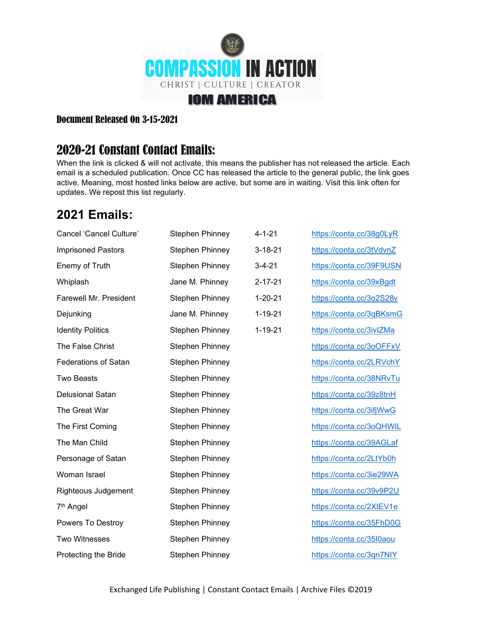

## Document Released On 3-15-2021

## 2020-21 Constant Contact Emails:

When the link is clicked & will not activate, this means the publisher has not released the article. Each email is a scheduled publication. Once CC has released the article to the general public, the link goes active. Meaning, most hosted links below are active, but some are in waiting. Visit this link often for updates. We repost this list regularly.

## **2021 Emails:**

| Cancel 'Cancel Culture'       | <b>Stephen Phinney</b> | $4 - 1 - 21$  | https://conta.cc/38g0LyR |
|-------------------------------|------------------------|---------------|--------------------------|
| <b>Imprisoned Pastors</b>     | <b>Stephen Phinney</b> | $3 - 18 - 21$ | https://conta.cc/3tVdvnZ |
| Enemy of Truth                | <b>Stephen Phinney</b> | $3 - 4 - 21$  | https://conta.cc/39F9USN |
| Whiplash                      | Jane M. Phinney        | $2 - 17 - 21$ | https://conta.cc/39xBgdt |
| <b>Farewell Mr. President</b> | <b>Stephen Phinney</b> | $1 - 20 - 21$ | https://conta.cc/3o2S28v |
| Dejunking                     | Jane M. Phinney        | $1 - 19 - 21$ | https://conta.cc/3qBKsmG |
| <b>Identity Politics</b>      | <b>Stephen Phinney</b> | $1 - 19 - 21$ | https://conta.cc/3ivlZMa |
| The False Christ              | <b>Stephen Phinney</b> |               | https://conta.cc/3oOFFxV |
| <b>Federations of Satan</b>   | <b>Stephen Phinney</b> |               | https://conta.cc/2LRVchY |
| <b>Two Beasts</b>             | <b>Stephen Phinney</b> |               | https://conta.cc/38NRvTu |
| Delusional Satan              | <b>Stephen Phinney</b> |               | https://conta.cc/39z8tnH |
| The Great War                 | <b>Stephen Phinney</b> |               | https://conta.cc/3ifjWwG |
| The First Coming              | <b>Stephen Phinney</b> |               | https://conta.cc/3oQHWIL |
| The Man Child                 | <b>Stephen Phinney</b> |               | https://conta.cc/39AGLaf |
| Personage of Satan            | <b>Stephen Phinney</b> |               | https://conta.cc/2LtYb0h |
| Woman Israel                  | <b>Stephen Phinney</b> |               | https://conta.cc/3ie29WA |
| Righteous Judgement           | <b>Stephen Phinney</b> |               | https://conta.cc/39v9P2U |
| 7 <sup>th</sup> Angel         | <b>Stephen Phinney</b> |               | https://conta.cc/2XIEV1e |
| Powers To Destroy             | <b>Stephen Phinney</b> |               | https://conta.cc/35FhD0G |
| <b>Two Witnesses</b>          | <b>Stephen Phinney</b> |               | https://conta.cc/35l0aou |
| Protecting the Bride          | <b>Stephen Phinney</b> |               | https://conta.cc/3qn7NIY |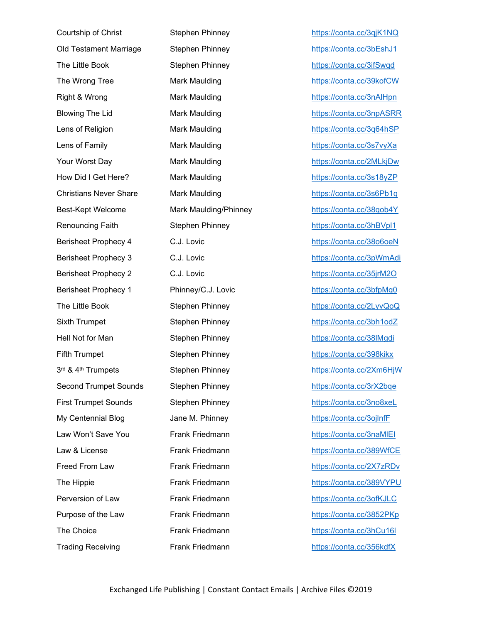Courtship of Christ Stephen Phinney <https://conta.cc/3qjK1NQ> Old Testament Marriage Stephen Phinney **<https://conta.cc/3bEshJ1>** The Little Book Stephen Phinney <https://conta.cc/3ifSwqd> The Wrong Tree **Mark Maulding Mark Maulding** <https://conta.cc/39kofCW> Right & Wrong **Mark Maulding Mark Maulding** <https://conta.cc/3nAlHpn> Blowing The Lid **Mark Maulding <https://conta.cc/3npASRR>** Lens of Religion **Mark Maulding <https://conta.cc/3q64hSP>** Lens of Family Mark Maulding <https://conta.cc/3s7vyXa> Your Worst Day Mark Maulding <https://conta.cc/2MLkjDw> How Did I Get Here? Mark Maulding <https://conta.cc/3s18yZP> Christians Never Share Mark Maulding <https://conta.cc/3s6Pb1q> Best-Kept Welcome Mark Maulding/Phinney <https://conta.cc/38qob4Y> Renouncing Faith **Stephen Phinney and Stephen Phinney** <https://conta.cc/3hBVpl1> Berisheet Prophecy 4 C.J. Lovic <https://conta.cc/38o6oeN> Berisheet Prophecy 3 C.J. Lovic <https://conta.cc/3pWmAdi> Berisheet Prophecy 2 C.J. Lovic <https://conta.cc/35jrM2O> Berisheet Prophecy 1 Phinney/C.J. Lovic <https://conta.cc/3bfpMg0> The Little Book **Stephen Phinney Stephen Phinney** <https://conta.cc/2LyvQoQ> Sixth Trumpet Stephen Phinney <https://conta.cc/3bh1odZ> Hell Not for Man **Stephen Phinney Stephen Phinney** <https://conta.cc/38lMgdi> Fifth Trumpet Stephen Phinney buttps://conta.cc/398kikx 3rd & 4th Trumpets Second Trumpet Sounds Stephen Phinney **Stephen Phinney** <https://conta.cc/3rX2bqe> First Trumpet Sounds Stephen Phinney <https://conta.cc/3no8xeL> My Centennial Blog diametric Jane M. Phinney that the https://conta.cc/3ojInfF Law Won't Save You **Frank Friedmann Example 20** https://conta.cc/3naMIEI Law & License **Frank Friedmann <https://conta.cc/389WfCE>** Freed From Law Frank Friedmann <https://conta.cc/2X7zRDv> The Hippie **Frank Friedmann** <https://conta.cc/389VYPU> Perversion of Law **Frank Friedmann Frank Highlann** <https://conta.cc/3ofKJLC> Purpose of the Law Frank Friedmann <https://conta.cc/3852PKp> The Choice **Frank Friedmann Frank Friedmann** <https://conta.cc/3hCu16l> Trading Receiving Frank Friedmann <https://conta.cc/356kdfX>

Stephen Phinney <https://conta.cc/2Xm6HjW>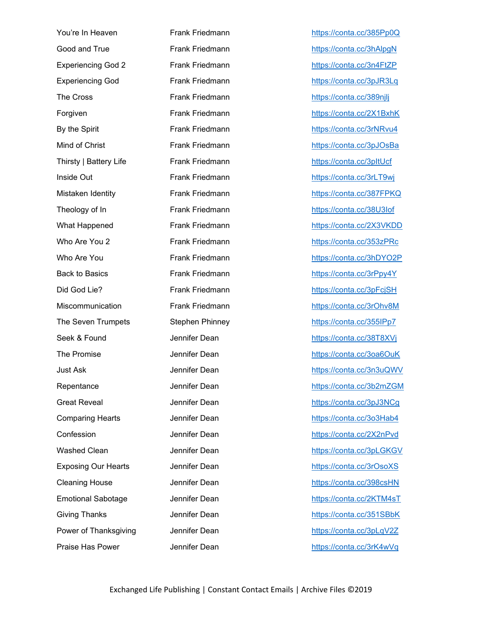You're In Heaven **Frank Friedmann Frank Friedmann** <https://conta.cc/385Pp0Q> Good and True **Frank Friedmann Frank Friedmann** <https://conta.cc/3hAlpgN> Experiencing God 2 Frank Friedmann <https://conta.cc/3n4FtZP> Experiencing God Frank Friedmann <https://conta.cc/3pJR3Lq> The Cross **Frank Friedmann** <https://conta.cc/389njlj> Forgiven Frank Friedmann <https://conta.cc/2X1BxhK> By the Spirit Frank Friedmann <https://conta.cc/3rNRvu4> Mind of Christ **Frank Friedmann <https://conta.cc/3pJOsBa>** Thirsty | Battery Life Frank Friedmann <https://conta.cc/3pItUcf> Inside Out Frank Friedmann <https://conta.cc/3rLT9wj> Mistaken Identity **Frank Friedmann** <https://conta.cc/387FPKQ> Theology of In Frank Friedmann <https://conta.cc/38U3Iof> What Happened Frank Friedmann <https://conta.cc/2X3VKDD> Who Are You 2 **Frank Friedmann <https://conta.cc/353zPRc>** Who Are You **Frank Friedmann** <https://conta.cc/3hDYO2P> Back to Basics **Frank Friedmann Frank Friedmann** <https://conta.cc/3rPpy4Y> Did God Lie? Frank Friedmann <https://conta.cc/3pFcjSH> Miscommunication Frank Friedmann <https://conta.cc/3rOhv8M> The Seven Trumpets Stephen Phinney <https://conta.cc/355IPp7> Seek & Found **Seek & Found Seek & Found Seek & Found Seek & Found Section** Jennifer Dean **https://conta.cc/38T8XV**j The Promise The Promise Jennifer Dean <https://conta.cc/3oa6OuK> Just Ask Jennifer Dean <https://conta.cc/3n3uQWV> Repentance Jennifer Dean <https://conta.cc/3b2mZGM> Great Reveal **State State State Jennifer Dean** <https://conta.cc/3pJ3NCg> Comparing Hearts **Comparing Hearts** Jennifer Dean **<https://conta.cc/3o3Hab4>** Confession Jennifer Dean <https://conta.cc/2X2nPvd> Washed Clean and Jennifer Dean and the <https://conta.cc/3pLGKGV> Exposing Our Hearts Jennifer Dean <https://conta.cc/3rOsoXS> Cleaning House **Cleaning House** Jennifer Dean <https://conta.cc/398csHN> Emotional Sabotage **Jennifer Dean Hermital <https://conta.cc/2KTM4sT>** Giving Thanks **Jennifer Dean** <https://conta.cc/351SBbK> Power of Thanksgiving and Jennifer Dean <https://conta.cc/3pLqV2Z> Praise Has Power **Jennifer Dean <https://conta.cc/3rK4wVq>**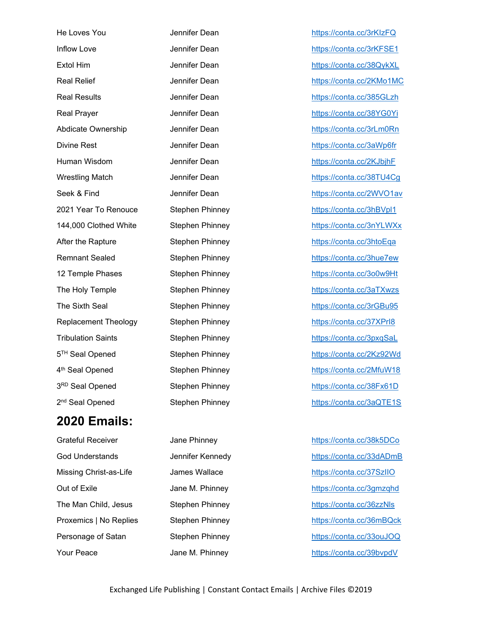| He Loves You                | Jennifer Dear |
|-----------------------------|---------------|
| Inflow Love                 | Jennifer Dear |
| <b>Extol Him</b>            | Jennifer Dear |
| <b>Real Relief</b>          | Jennifer Dear |
| <b>Real Results</b>         | Jennifer Dear |
| <b>Real Prayer</b>          | Jennifer Dear |
| Abdicate Ownership          | Jennifer Dear |
| <b>Divine Rest</b>          | Jennifer Dear |
| Human Wisdom                | Jennifer Dear |
| <b>Wrestling Match</b>      | Jennifer Dear |
| Seek & Find                 | Jennifer Dear |
| 2021 Year To Renouce        | Stephen Phir  |
| 144,000 Clothed White       | Stephen Phir  |
| After the Rapture           | Stephen Phir  |
| <b>Remnant Sealed</b>       | Stephen Phir  |
| 12 Temple Phases            | Stephen Phir  |
| The Holy Temple             | Stephen Phir  |
| The Sixth Seal              | Stephen Phir  |
| <b>Replacement Theology</b> | Stephen Phir  |
| <b>Tribulation Saints</b>   | Stephen Phir  |
| 5 <sup>TH</sup> Seal Opened | Stephen Phir  |
| 4 <sup>th</sup> Seal Opened | Stephen Phir  |
| 3RD Seal Opened             | Stephen Phir  |
| 2 <sup>nd</sup> Seal Opened | Stephen Phir  |
|                             |               |

## **2020 Emails:**

Grateful Receiver **Contact Access Contact Access** Jane Phinney **<https://conta.cc/38k5DCo>** 

n and the Loves The Loves States Attps://conta.cc/3rKIzFQ n <https://conta.cc/3rKFSE1> n <https://conta.cc/38QykXL> n and the original <https://conta.cc/2KMo1MC> n <https://conta.cc/385GLzh> n <https://conta.cc/38YG0Yi> n abdicate Ownership Jennifer Dean <https://conta.cc/3rLm0Rn> n bittps://conta.cc/3aWp6fr n <https://conta.cc/2KJbjhF> n <https://conta.cc/38TU4Cg> n and the Find Stephen <https://conta.cc/2WVO1av> 2021 They Tomas To Renounce Stephen Phinney <https://conta.cc/3hBVpl1> 144.000 <https://conta.cc/3nYLWXx> after the Rapture Stephen Phinney <https://conta.cc/3htoEqa> ney <https://conta.cc/3hue7ew> 12 Temple Phases Stephen Phinney Stephen Phinney Phinney Phinney Phinney Phinney The Holy Temple Stephen Phinney <https://conta.cc/3aTXwzs> nney <https://conta.cc/3rGBu95> and Theorem Theorem <https://conta.cc/37XPrI8> Tributation Schemen Stephen Phinney <https://conta.cc/3pxqSaL> They <https://conta.cc/2Kz92Wd> th Seal Opened Stephen Phinney <https://conta.cc/2MfuW18> <https://conta.cc/38Fx61D> nd Stephen Phinney <https://conta.cc/3aQTE1S>

God Understands Jennifer Kennedy <https://conta.cc/33dADmB> Missing Christ-as-Life James Wallace <https://conta.cc/37SzIIO> Out of Exile **State State State State M. Phinney Conta.cc**/3gmzqhd <https://conta.cc/3gmzqhd> The Man Child, Jesus Stephen Phinney <https://conta.cc/36zzNls> Proxemics | No Replies Stephen Phinney https://conta.cc/36mBQck Personage of Satan Stephen Phinney and <https://conta.cc/33ouJOQ> Your Peace **Vane M. Phinney Contact Accepts** Https://conta.cc/39bvpdV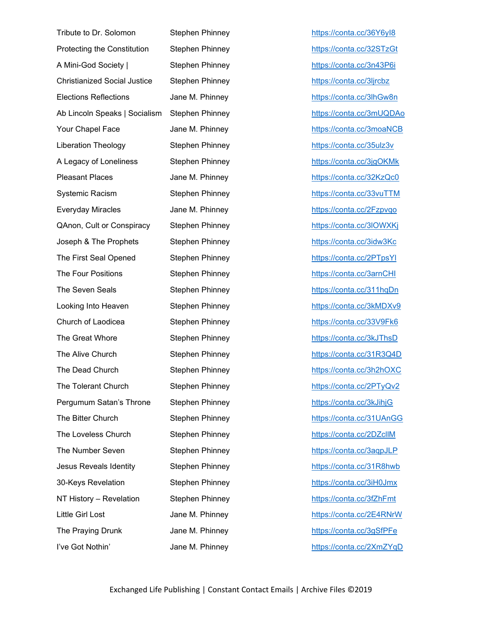| Tribute to Dr. Solomon              | Stephen Phinney |
|-------------------------------------|-----------------|
| Protecting the Constitution         | Stephen Phinney |
| A Mini-God Society                  | Stephen Phinney |
| <b>Christianized Social Justice</b> | Stephen Phinney |
| <b>Elections Reflections</b>        | Jane M. Phinney |
| Ab Lincoln Speaks   Socialism       | Stephen Phinney |
| Your Chapel Face                    | Jane M. Phinney |
| <b>Liberation Theology</b>          | Stephen Phinney |
| A Legacy of Loneliness              | Stephen Phinney |
| <b>Pleasant Places</b>              | Jane M. Phinney |
| Systemic Racism                     | Stephen Phinney |
| <b>Everyday Miracles</b>            | Jane M. Phinney |
| QAnon, Cult or Conspiracy           | Stephen Phinney |
| Joseph & The Prophets               | Stephen Phinney |
| The First Seal Opened               | Stephen Phinney |
| The Four Positions                  | Stephen Phinney |
| The Seven Seals                     | Stephen Phinney |
| Looking Into Heaven                 | Stephen Phinney |
| Church of Laodicea                  | Stephen Phinney |
| The Great Whore                     | Stephen Phinney |
| The Alive Church                    | Stephen Phinney |
| The Dead Church                     | Stephen Phinney |
| The Tolerant Church                 | Stephen Phinney |
| Pergumum Satan's Throne             | Stephen Phinney |
| The Bitter Church                   | Stephen Phinney |
| The Loveless Church                 | Stephen Phinney |
| The Number Seven                    | Stephen Phinney |
| Jesus Reveals Identity              | Stephen Phinney |
| 30-Keys Revelation                  | Stephen Phinney |
| NT History - Revelation             | Stephen Phinney |
| <b>Little Girl Lost</b>             | Jane M. Phinney |
| The Praying Drunk                   | Jane M. Phinney |
| I've Got Nothin'                    | Jane M. Phinney |

<https://conta.cc/36Y6yI8> Protecting the Constitution Stephen Phinney <https://conta.cc/32STzGt> A Mini-God Society in Stephen Phinney <https://conta.cc/3n43P6i> <u>Christianized Social Justice Stephen Philosophen Philosophen Philosophen Philosophen Philosophen Phi</u> <https://conta.cc/3lhGw8n> Ab Lincoln Speaks Https://conta.cc/3mUQDAo <https://conta.cc/3moaNCB> Liberation Theology Stephen Phinney <https://conta.cc/35ulz3v> A Legacy of Lonelinesr Stephen Phinney <https://conta.cc/3jgOKMk> <https://conta.cc/32KzQc0> <https://conta.cc/33vuTTM> <https://conta.cc/2Fzpvqo> QAnon, Cult or Conspiracy Stephen Phinney <https://conta.cc/3lOWXKj> <https://conta.cc/3idw3Kc> <https://conta.cc/2PTpsYl> <https://conta.cc/3arnCHI> y <https://conta.cc/311hqDn> <https://conta.cc/3kMDXv9> Arch of Laodin Church of Laodines://conta.cc/33V9Fk6 y the Great Music Methods://conta.cc/3kJThsD The Altride Church Stephen Phinney <https://conta.cc/31R3Q4D> <https://conta.cc/3h2hOXC> <https://conta.cc/2PTyQv2> Pergumum Satan's Throne Stephen Phinney <https://conta.cc/3kJihjG> The Bitter Church Stephen Phinney <https://conta.cc/31UAnGG> https://conta.cc/2DZcllM The Number Seven Stephen Stephen Stephen Stephen Stephen Stephen Stephen Stephen Stephen Stephen Stephen Stephen Stephen Stephen Stephen Stephen Stephen Stephen Stephen Stephen Stephen Stephen Stephen Stephen Stephen Steph y <https://conta.cc/31R8hwb> 30-Keys Revelation Stephen Philosophen Philosophen Philosophen Philosophen Philosophen Philosophen Philosophen P NT History – Revelation Stephen Phinney <https://conta.cc/3fZhFmt> <https://conta.cc/2E4RNrW> <https://conta.cc/3gSfPFe> <https://conta.cc/2XmZYqD>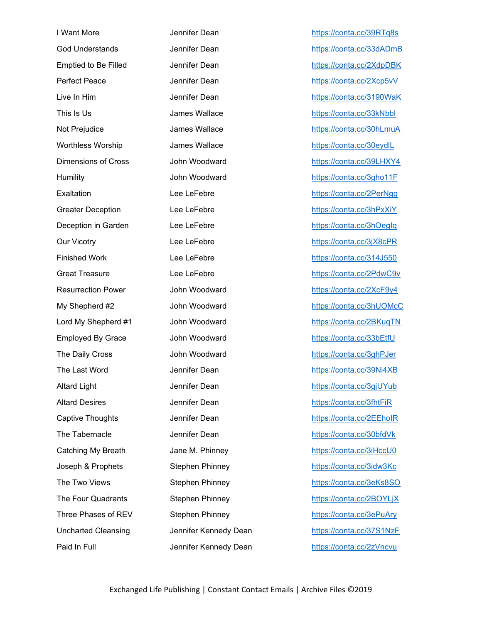| I Want More                 | Jennifer Dean  |
|-----------------------------|----------------|
| <b>God Understands</b>      | Jennifer Dean  |
| <b>Emptied to Be Filled</b> | Jennifer Dean  |
| <b>Perfect Peace</b>        | Jennifer Dean  |
| Live In Him                 | Jennifer Dean  |
| This Is Us                  | James Wallace  |
| Not Prejudice               | James Wallace  |
| <b>Worthless Worship</b>    | James Wallace  |
| <b>Dimensions of Cross</b>  | John Woodwar   |
| Humility                    | John Woodwar   |
| Exaltation                  | Lee LeFebre    |
| <b>Greater Deception</b>    | Lee LeFebre    |
| Deception in Garden         | Lee LeFebre    |
| <b>Our Vicotry</b>          | Lee LeFebre    |
| <b>Finished Work</b>        | Lee LeFebre    |
| <b>Great Treasure</b>       | Lee LeFebre    |
| <b>Resurrection Power</b>   | John Woodwar   |
| My Shepherd #2              | John Woodwar   |
| Lord My Shepherd #1         | John Woodwar   |
| <b>Employed By Grace</b>    | John Woodwar   |
| The Daily Cross             | John Woodwar   |
| The Last Word               | Jennifer Dean  |
| <b>Altard Light</b>         | Jennifer Dean  |
| <b>Altard Desires</b>       | Jennifer Dean  |
| Captive Thoughts            | Jennifer Dean  |
| The Tabernacle              | Jennifer Dean  |
| Catching My Breath          | Jane M. Phinne |
| Joseph & Prophets           | Stephen Phinn  |
| The Two Views               | Stephen Phinn  |
| The Four Quadrants          | Stephen Phinn  |
| Three Phases of REV         | Stephen Phinn  |
| <b>Uncharted Cleansing</b>  | Jennifer Kenne |
| Paid In Full                | Jennifer Kenne |

<https://conta.cc/39RTq8s> <https://conta.cc/33dADmB> <https://conta.cc/2XdpDBK> <https://conta.cc/2Xcp5vV> <https://conta.cc/3190WaK> https://conta.cc/33kNbbl e <https://conta.cc/30hLmuA> e <https://conta.cc/30eydlL> rd <https://conta.cc/39LHXY4> Humility John Woodward <https://conta.cc/3gho11F> <https://conta.cc/2PerNgg> <https://conta.cc/3hPxXiY> <https://conta.cc/3hOegIq> <https://conta.cc/3jX8cPR> <https://conta.cc/314J550> <https://conta.cc/2PdwC9v> rd <https://conta.cc/2XcF9y4> My Shepherd #2 John Woodward <https://conta.cc/3hUOMcC> Lord My Shepherd #1 John Woodward <https://conta.cc/2BKuqTN> rd By Grace John Woodward Https://conta.cc/33bEtfU The Daily Cross Human Muscle Daily Cross Articles John Woodward Muscle Daily Art New York Woodward Muscle Daily Muscle Daily Muscle Daily Muscle Daily Muscle Daily Muscle Daily Muscle Daily Muscle Daily Muscle Daily Muscle <https://conta.cc/39Ni4XB> <https://conta.cc/3gjUYub> <https://conta.cc/3fhtFiR> <https://conta.cc/2EEhoIR> <https://conta.cc/30bfdVk> Catching My Breath Jane M. Phinney <https://conta.cc/3iHccU0> Joseph & Prophets Stephen Phinney <https://conta.cc/3idw3Kc> The Two Views Stephen Philips://conta.cc/3eKs8SO The Four Contact Authorization of the Four Articles Stephen Philosophen Phinney Authorization of the Maria Stephen Stephen Stephen Phinney Stephen Stephen Stephen Stephen Stephen Stephen Stephen Stephen Stephen Stephen Ste Three Phases of Three Phinney Stephen Phinney Stephen Phinney Art Rev Stephen Phinney Stephen Phinney Stephen P edy Dean <https://conta.cc/37S1NzF> edy Dean <https://conta.cc/2zVncvu>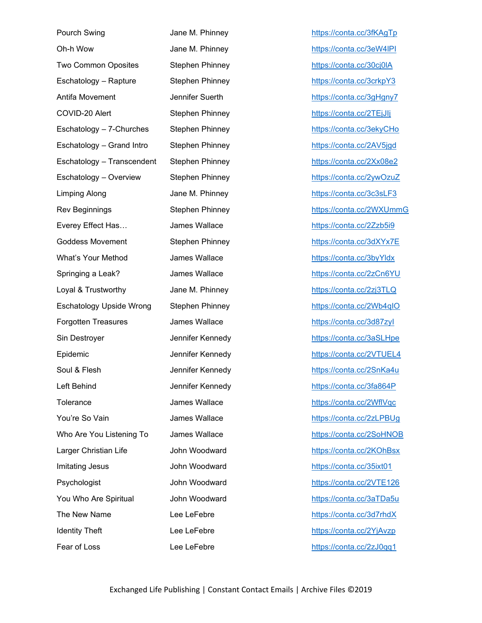| Pourch Swing                    | Jane M. Phinne  |
|---------------------------------|-----------------|
| Oh-h Wow                        | Jane M. Phinne  |
| Two Common Oposites             | Stephen Phinn   |
| Eschatology - Rapture           | Stephen Phinn   |
| Antifa Movement                 | Jennifer Suerth |
| COVID-20 Alert                  | Stephen Phinn   |
| Eschatology - 7-Churches        | Stephen Phinn   |
| Eschatology - Grand Intro       | Stephen Phinn   |
| Eschatology - Transcendent      | Stephen Phinn   |
| Eschatology - Overview          | Stephen Phinn   |
| <b>Limping Along</b>            | Jane M. Phinne  |
| <b>Rev Beginnings</b>           | Stephen Phinn   |
| Everey Effect Has               | James Wallace   |
| <b>Goddess Movement</b>         | Stephen Phinn   |
| What's Your Method              | James Wallace   |
| Springing a Leak?               | James Wallace   |
| Loyal & Trustworthy             | Jane M. Phinne  |
| <b>Eschatology Upside Wrong</b> | Stephen Phinn   |
| <b>Forgotten Treasures</b>      | James Wallace   |
| Sin Destroyer                   | Jennifer Kenne  |
| Epidemic                        | Jennifer Kenne  |
| Soul & Flesh                    | Jennifer Kenne  |
| Left Behind                     | Jennifer Kenne  |
| Tolerance                       | James Wallace   |
| You're So Vain                  | James Wallace   |
| Who Are You Listening To        | James Wallace   |
| Larger Christian Life           | John Woodwar    |
| Imitating Jesus                 | John Woodwar    |
| Psychologist                    | John Woodwar    |
| You Who Are Spiritual           | John Woodwar    |
| The New Name                    | Lee LeFebre     |
| <b>Identity Theft</b>           | Lee LeFebre     |
| Fear of Loss                    | Lee LeFebre     |

ey <u><https://conta.cc/3fKAgTp></u> Oh-h Wow Jane M. Phinney <https://conta.cc/3eW4lPI> Two Common Common Common Common Common Common Common Common Common Common Common Common Common Common Common Common Common Common Common Common Common Common Common Common Common Common Common Common Common Common Common C ey – Rapture Stephen Phinney <https://conta.cc/3crkpY3> م المطابع الوابعي الوابعي الجنوب المستخدم المستخدم المستخدم المستخدم المستخدم المستخدم المستخدم المستخدم المستخ COVID-20 Alert Stephen Phinney <https://conta.cc/2TEjJIj> ey – 7-Churches Stephen Phinney <https://conta.cc/3ekyCHo> ey – Grand International International International International International International International I ey – Transcendent Stephen Phitps://conta.cc/2Xx08e2 ey extending the overview of the <https://conta.cc/2ywOzuZ> Limping Along Jane M. Phinney <https://conta.cc/3c3sLF3> ey <https://conta.cc/2WXUmmG> everey Effect Has <https://conta.cc/2Zzb5i9> Goddess Movement Stephen Phinney <https://conta.cc/3dXYx7E> e what's Your Method Islam <https://conta.cc/3byYldx> Between the Leak of the Leak of the <https://conta.cc/2zCn6YU> Loyal & Trustworthy Jane M. Phinney <https://conta.cc/2zj3TLQ> ey <u><https://conta.cc/2Wb4qIO></u> Forgotten Treasures International International Articles And Treasures International Articles And Treasures In edy <https://conta.cc/3aSLHpe> edy <https://conta.cc/2VTUEL4> edy <https://conta.cc/2SnKa4u> edy <https://conta.cc/3fa864P> Property in the set of the <https://conta.cc/2WflVqc> You're So Vain States Music <https://conta.cc/2zLPBUg> Who Are You Listening To James Wallace <https://conta.cc/2SoHNOB> Larger Christian Life John Woodward <https://conta.cc/2KOhBsx> Imitation of the Unit of the Muslim Muslim Muslim Muslim Muslim Muslim Muslim Muslim Muslim Muslim Muslim Musl<br>The Muslim Muslim Muslim Muslim Muslim Muslim Muslim Muslim Muslim Muslim Muslim Muslim Muslim Muslim Muslim M<br> Psychologist John Woodward <mark><https://conta.cc/2VTE126></mark> You Who Are Spiritual Muslim Muslim Muslim Muslim Muslim Woodward Muslim Woodward Muslim Muslim Muslim Muslim Mu <https://conta.cc/3d7rhdX> <https://conta.cc/2YjAvzp> <https://conta.cc/2zJ0qq1>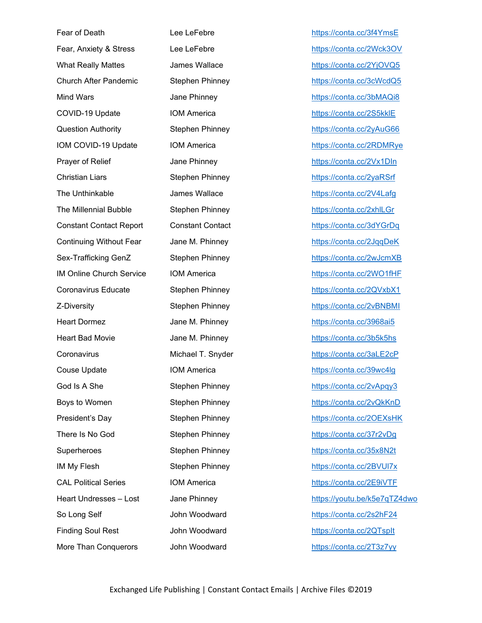Fear of Death **Lee LeFebre Lee LeFebre** <https://conta.cc/3f4YmsE> Fear, Anxiety & Stress Lee LeFebre <https://conta.cc/2Wck3OV> What Really Mattes **James Wallace Matter <https://conta.cc/2YjOVQ5>** Church After Pandemic Stephen Phinney <https://conta.cc/3cWcdQ5> Mind Wars **Mind Wars** Jane Phinney **<https://conta.cc/3bMAQi8>** COVID-19 Update IOM America <https://conta.cc/2S5kklE> Question Authority **Stephen Phinney Stephen Phinney** <https://conta.cc/2yAuG66> IOM COVID-19 Update IOM America <https://conta.cc/2RDMRye> Prayer of Relief **Accord Accord Jane Phinney <https://conta.cc/2Vx1DIn>** Christian Liars **Stephen Phinney Stephen Phinney** <https://conta.cc/2yaRSrf> The Unthinkable **Contact Contact Contact Contact Contact Contact Contact Contact Contact Contact Contact Contact Contact Contact Contact Contact Contact Contact Contact Contact Contact Contact Contact Contact Contact Conta** The Millennial Bubble Stephen Phinney <https://conta.cc/2xhlLGr> Constant Contact Report Constant Contact <https://conta.cc/3dYGrDq> Continuing Without Fear Jane M. Phinney <https://conta.cc/2JqqDeK> Sex-Trafficking GenZ Stephen Phinney <https://conta.cc/2wJcmXB> IM Online Church Service IOM America <https://conta.cc/2WO1fHF> Coronavirus Educate Stephen Phinney <https://conta.cc/2QVxbX1> Z-Diversity **Stephen Phinney Stephen Phinney** <https://conta.cc/2vBNBMI> Heart Dormez Jane M. Phinney <https://conta.cc/3968ai5> Heart Bad Movie Jane M. Phinney <https://conta.cc/3b5k5hs> Coronavirus Michael T. Snyder <https://conta.cc/3aLE2cP> Couse Update IOM America <https://conta.cc/39wc4lg> God Is A She Stephen Phinney <https://conta.cc/2vApqy3> Boys to Women Stephen Phinney <https://conta.cc/2vQkKnD> President's Day **Stephen Phinney Stephen Phinney <https://conta.cc/2OEXsHK>** There Is No God **Stephen Phinney Stephen Phinney** <https://conta.cc/37r2vDg> Superheroes Stephen Phinney <https://conta.cc/35x8N2t> IM My Flesh Stephen Phinney <https://conta.cc/2BVUl7x> CAL Political Series **IOM America IOM America** <https://conta.cc/2E9iVTF> Heart Undresses – Lost Jane Phinney <https://youtu.be/k5e7qTZ4dwo> So Long Self **Solution** John Woodward **<https://conta.cc/2s2hF24>** Finding Soul Rest John Woodward <https://conta.cc/2QTspIt> More Than Conquerors and John Woodward <https://conta.cc/2T3z7yy>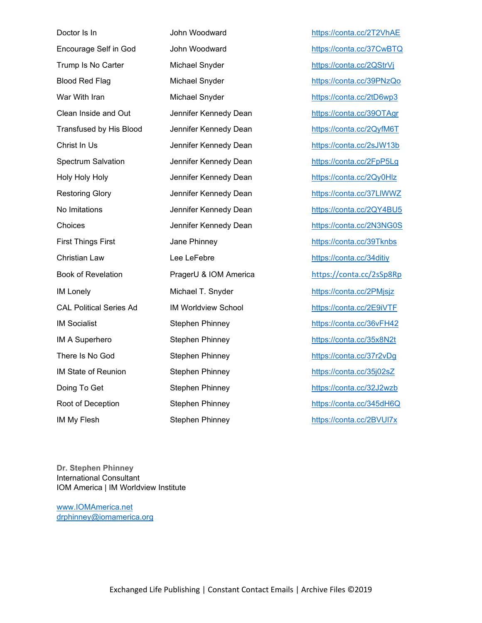| Doctor Is In                   | John Woodward             |
|--------------------------------|---------------------------|
| Encourage Self in God          | John Woodward             |
| Trump Is No Carter             | Michael Snyder            |
| <b>Blood Red Flag</b>          | Michael Snyder            |
| War With Iran                  | Michael Snyder            |
| Clean Inside and Out           | Jennifer Kennedy De       |
| <b>Transfused by His Blood</b> | Jennifer Kennedy De       |
| Christ In Us                   | Jennifer Kennedy De       |
| <b>Spectrum Salvation</b>      | Jennifer Kennedy De       |
| Holy Holy Holy                 | Jennifer Kennedy De       |
| <b>Restoring Glory</b>         | Jennifer Kennedy De       |
| No Imitations                  | Jennifer Kennedy De       |
| Choices                        | Jennifer Kennedy De       |
| <b>First Things First</b>      | Jane Phinney              |
| <b>Christian Law</b>           | Lee LeFebre               |
| <b>Book of Revelation</b>      | PragerU & IOM Ame         |
| <b>IM Lonely</b>               | Michael T. Snyder         |
| <b>CAL Political Series Ad</b> | <b>IM Worldview Schoo</b> |
| <b>IM Socialist</b>            | <b>Stephen Phinney</b>    |
| IM A Superhero                 | <b>Stephen Phinney</b>    |
| There Is No God                | <b>Stephen Phinney</b>    |
| <b>IM State of Reunion</b>     | <b>Stephen Phinney</b>    |
| Doing To Get                   | <b>Stephen Phinney</b>    |
| Root of Deception              | <b>Stephen Phinney</b>    |
| IM My Flesh                    | <b>Stephen Phinney</b>    |

<https://conta.cc/2T2VhAE> <https://conta.cc/37CwBTQ> <https://conta.cc/2QStrVj> <https://conta.cc/39PNzQo> <https://conta.cc/2tD6wp3> ean **Inside and Out Dean** <https://conta.cc/39OTAgr> Transfused by His Blood Dean <https://conta.cc/2QyfM6T> ean <https://conta.cc/2sJW13b> ean <https://conta.cc/2FpP5Lg> ean <https://conta.cc/2Qy0Hlz> ean <https://conta.cc/37LlWWZ> ean <https://conta.cc/2QY4BU5> ean <https://conta.cc/2N3NG0S> <https://conta.cc/39Tknbs> <https://conta.cc/34ditiy> Book of Revelation Price Articles://conta.cc/2sSp8Rp <https://conta.cc/2PMjsjz> LACT Political Series Address Address Address Address Address Address Address Address Address Address Address <https://conta.cc/36vFH42> <https://conta.cc/35x8N2t> <https://conta.cc/37r2vDg> <https://conta.cc/35j02sZ> <https://conta.cc/32J2wzb> <https://conta.cc/345dH6Q> <https://conta.cc/2BVUl7x>

**Dr. Stephen Phinney** International Consultant IOM America | IM Worldview Institute

[www.IOMAmerica.net](http://www.iomamerica.net/) [drphinney@iomamerica.org](mailto:drphinney@iomamerica.org)